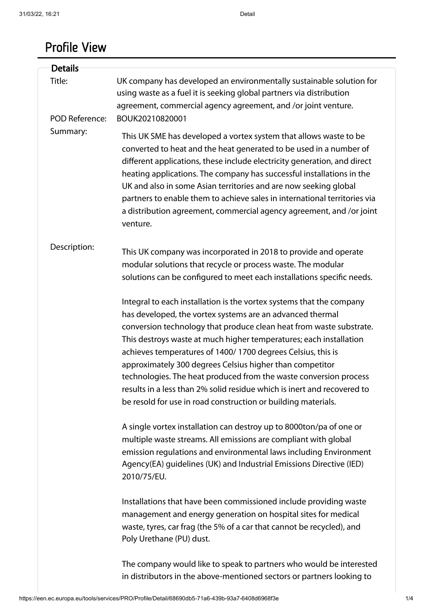## Profile View

| <b>Details</b>                              |                                                                                                                                                                                                                                                                                                                                                                                                                                                                                                                                                                                                                            |
|---------------------------------------------|----------------------------------------------------------------------------------------------------------------------------------------------------------------------------------------------------------------------------------------------------------------------------------------------------------------------------------------------------------------------------------------------------------------------------------------------------------------------------------------------------------------------------------------------------------------------------------------------------------------------------|
| Title:<br><b>POD Reference:</b><br>Summary: | UK company has developed an environmentally sustainable solution for<br>using waste as a fuel it is seeking global partners via distribution<br>agreement, commercial agency agreement, and /or joint venture.<br>BOUK20210820001                                                                                                                                                                                                                                                                                                                                                                                          |
|                                             | This UK SME has developed a vortex system that allows waste to be<br>converted to heat and the heat generated to be used in a number of<br>different applications, these include electricity generation, and direct<br>heating applications. The company has successful installations in the<br>UK and also in some Asian territories and are now seeking global<br>partners to enable them to achieve sales in international territories via<br>a distribution agreement, commercial agency agreement, and /or joint<br>venture.                                                                                          |
| Description:                                | This UK company was incorporated in 2018 to provide and operate<br>modular solutions that recycle or process waste. The modular<br>solutions can be configured to meet each installations specific needs.                                                                                                                                                                                                                                                                                                                                                                                                                  |
|                                             | Integral to each installation is the vortex systems that the company<br>has developed, the vortex systems are an advanced thermal<br>conversion technology that produce clean heat from waste substrate.<br>This destroys waste at much higher temperatures; each installation<br>achieves temperatures of 1400/1700 degrees Celsius, this is<br>approximately 300 degrees Celsius higher than competitor<br>technologies. The heat produced from the waste conversion process<br>results in a less than 2% solid residue which is inert and recovered to<br>be resold for use in road construction or building materials. |
|                                             | A single vortex installation can destroy up to 8000ton/pa of one or<br>multiple waste streams. All emissions are compliant with global<br>emission regulations and environmental laws including Environment<br>Agency(EA) guidelines (UK) and Industrial Emissions Directive (IED)<br>2010/75/EU.                                                                                                                                                                                                                                                                                                                          |
|                                             | Installations that have been commissioned include providing waste<br>management and energy generation on hospital sites for medical<br>waste, tyres, car frag (the 5% of a car that cannot be recycled), and<br>Poly Urethane (PU) dust.                                                                                                                                                                                                                                                                                                                                                                                   |
|                                             | The company would like to speak to partners who would be interested<br>in distributors in the above-mentioned sectors or partners looking to                                                                                                                                                                                                                                                                                                                                                                                                                                                                               |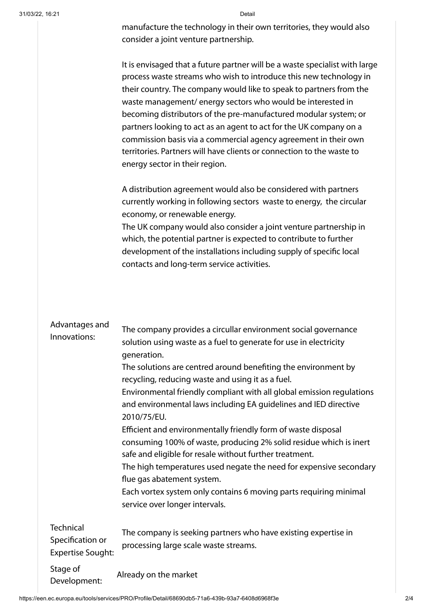| Detail                                                                      |  |
|-----------------------------------------------------------------------------|--|
| manufacture the technology in their own territories, they would also        |  |
| consider a joint venture partnership.                                       |  |
| It is envisaged that a future partner will be a waste specialist with large |  |
| process waste streams who wish to introduce this new technology in          |  |
| their country. The company would like to speak to partners from the         |  |
| waste management/energy sectors who would be interested in                  |  |
| becoming distributors of the pre-manufactured modular system; or            |  |
| partners looking to act as an agent to act for the UK company on a          |  |
|                                                                             |  |

A distribution agreement would also be considered with partners currently working in following sectors waste to energy, the circular economy, or renewable energy. The UK company would also consider a joint venture partnership in which, the potential partner is expected to contribute to further development of the installations including supply of specific local contacts and long-term service activities.

commission basis via a commercial agency agreement in their own territories. Partners will have clients or connection to the waste to

energy sector in their region.

| Advantages and<br>Innovations:                                   | The company provides a circullar environment social governance<br>solution using waste as a fuel to generate for use in electricity<br>generation.<br>The solutions are centred around benefiting the environment by<br>recycling, reducing waste and using it as a fuel.<br>Environmental friendly compliant with all global emission regulations<br>and environmental laws including EA guidelines and IED directive<br>2010/75/EU.<br>Efficient and environmentally friendly form of waste disposal<br>consuming 100% of waste, producing 2% solid residue which is inert<br>safe and eligible for resale without further treatment.<br>The high temperatures used negate the need for expensive secondary<br>flue gas abatement system.<br>Each vortex system only contains 6 moving parts requiring minimal<br>service over longer intervals. |
|------------------------------------------------------------------|----------------------------------------------------------------------------------------------------------------------------------------------------------------------------------------------------------------------------------------------------------------------------------------------------------------------------------------------------------------------------------------------------------------------------------------------------------------------------------------------------------------------------------------------------------------------------------------------------------------------------------------------------------------------------------------------------------------------------------------------------------------------------------------------------------------------------------------------------|
| <b>Technical</b><br>Specification or<br><b>Expertise Sought:</b> | The company is seeking partners who have existing expertise in<br>processing large scale waste streams.                                                                                                                                                                                                                                                                                                                                                                                                                                                                                                                                                                                                                                                                                                                                            |
| Stage of<br>Development:                                         | Already on the market                                                                                                                                                                                                                                                                                                                                                                                                                                                                                                                                                                                                                                                                                                                                                                                                                              |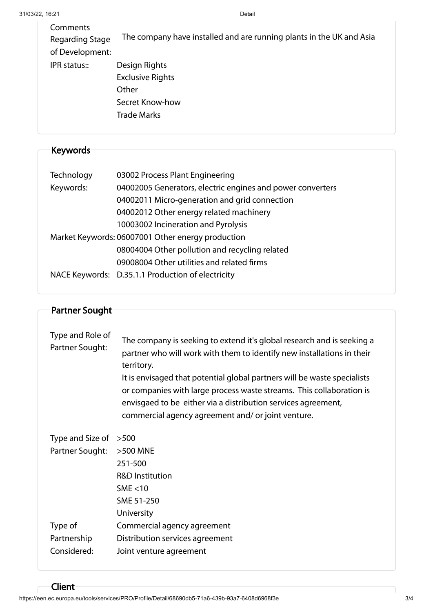| Comments<br>Regarding Stage<br>of Development: | The company have installed and are running plants in the UK and Asia                       |
|------------------------------------------------|--------------------------------------------------------------------------------------------|
| IPR status::                                   | Design Rights<br><b>Exclusive Rights</b><br>Other<br>Secret Know-how<br><b>Trade Marks</b> |

## Keywords

| 03002 Process Plant Engineering                            |
|------------------------------------------------------------|
| 04002005 Generators, electric engines and power converters |
| 04002011 Micro-generation and grid connection              |
| 04002012 Other energy related machinery                    |
| 10003002 Incineration and Pyrolysis                        |
| Market Keywords: 06007001 Other energy production          |
| 08004004 Other pollution and recycling related             |
| 09008004 Other utilities and related firms                 |
| NACE Keywords: D.35.1.1 Production of electricity          |
|                                                            |

| Partner Sought                      |                                                                                                                                                                                                                                                                                                                                                                                                                                           |  |
|-------------------------------------|-------------------------------------------------------------------------------------------------------------------------------------------------------------------------------------------------------------------------------------------------------------------------------------------------------------------------------------------------------------------------------------------------------------------------------------------|--|
|                                     |                                                                                                                                                                                                                                                                                                                                                                                                                                           |  |
| Type and Role of<br>Partner Sought: | The company is seeking to extend it's global research and is seeking a<br>partner who will work with them to identify new installations in their<br>territory.<br>It is envisaged that potential global partners will be waste specialists<br>or companies with large process waste streams. This collaboration is<br>envisgaed to be either via a distribution services agreement,<br>commercial agency agreement and/ or joint venture. |  |
| Type and Size of                    | >500                                                                                                                                                                                                                                                                                                                                                                                                                                      |  |
| Partner Sought:                     | >500 MNE                                                                                                                                                                                                                                                                                                                                                                                                                                  |  |
|                                     | 251-500                                                                                                                                                                                                                                                                                                                                                                                                                                   |  |
|                                     | <b>R&amp;D Institution</b>                                                                                                                                                                                                                                                                                                                                                                                                                |  |
|                                     | SME $<$ 10                                                                                                                                                                                                                                                                                                                                                                                                                                |  |
|                                     | SME 51-250                                                                                                                                                                                                                                                                                                                                                                                                                                |  |
|                                     | University                                                                                                                                                                                                                                                                                                                                                                                                                                |  |
| Type of                             | Commercial agency agreement                                                                                                                                                                                                                                                                                                                                                                                                               |  |
| Partnership                         | Distribution services agreement                                                                                                                                                                                                                                                                                                                                                                                                           |  |
| Considered:                         | Joint venture agreement                                                                                                                                                                                                                                                                                                                                                                                                                   |  |